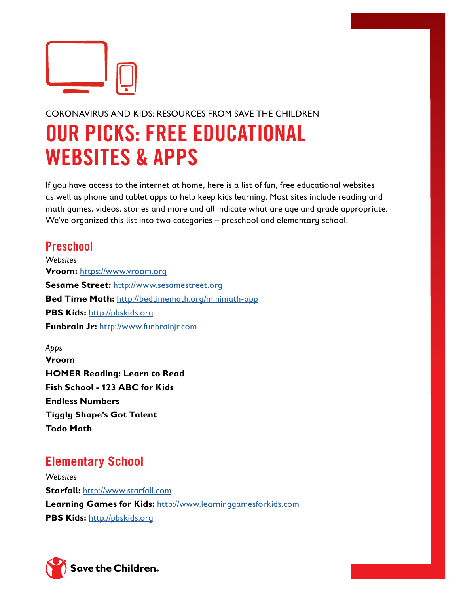

## CORONAVIRUS AND KIDS: RESOURCES FROM SAVE THE CHILDREN

## OUR PICKS: FREE EDUCATIONAL WEBSITES & APPS

If you have access to the internet at home, here is a list of fun, free educational websites as well as phone and tablet apps to help keep kids learning. Most sites include reading and math games, videos, stories and more and all indicate what are age and grade appropriate. We've organized this list into two categories – preschool and elementary school.

## **Preschool**

*Websites* **Vroom:** https://www.vroom.org **Sesame Street:** http://www.sesamestreet.org **Bed Time Math:** http://bedtimemath.org/minimath-app **PBS Kids:** http://pbskids.org **Funbrain Jr:** http://www.funbrainjr.com

*Apps* **Vroom HOMER Reading: Learn to Read Fish School - 123 ABC for Kids Endless Numbers Tiggly Shape's Got Talent Todo Math**

## **Elementary School**

*Websites* **Starfall:** http://www.starfall.com **Learning Games for Kids:** http://www.learninggamesforkids.com **PBS Kids:** http://pbskids.org